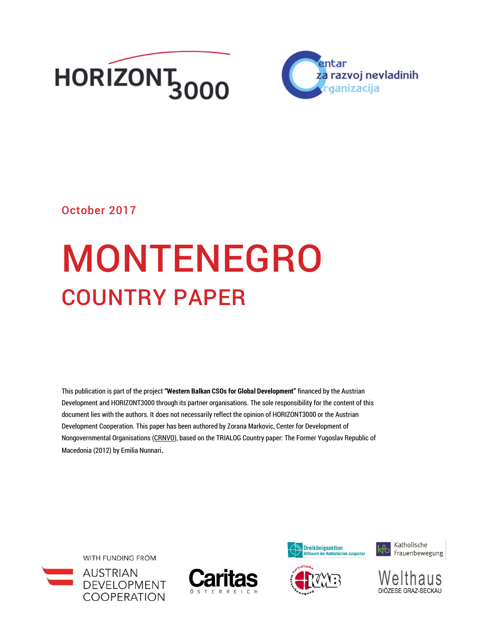



## October 2017

# MONTENEGRO COUNTRY PAPER

This publication is part of the project **"Western Balkan CSOs for Global Development"** financed by the Austrian Development and HORIZONT3000 through its partner organisations. The sole responsibility for the content of this document lies with the authors. It does not necessarily reflect the opinion of HORIZONT3000 or the Austrian Development Cooperation. This paper has been authored by Zorana Markovic, Center for Development of Nongovernmental Organisations [\(CRNVO\)](http://www.crnvo.me/en), based on the TRIALOG Country paper: The Former Yugoslav Republic of Macedonia (2012) by Emilia Nunnari.

WITH FUNDING FROM











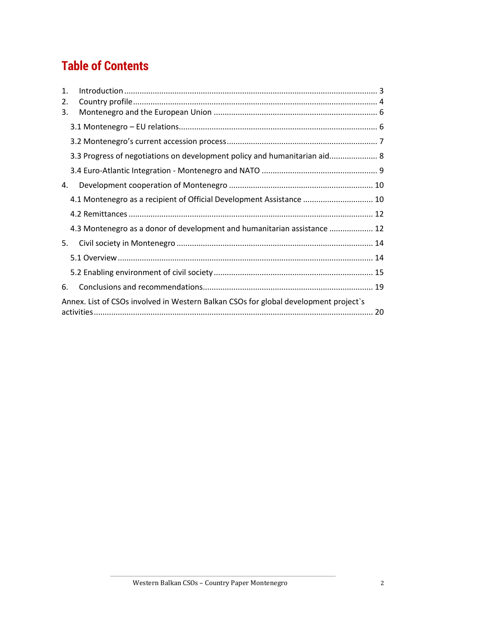# **Table of Contents**

| 1.<br>2. |                                                                                      |  |
|----------|--------------------------------------------------------------------------------------|--|
| 3.       |                                                                                      |  |
|          |                                                                                      |  |
|          |                                                                                      |  |
|          | 3.3 Progress of negotiations on development policy and humanitarian aid 8            |  |
|          |                                                                                      |  |
| 4.       |                                                                                      |  |
|          | 4.1 Montenegro as a recipient of Official Development Assistance  10                 |  |
|          |                                                                                      |  |
|          | 4.3 Montenegro as a donor of development and humanitarian assistance  12             |  |
| 5.       |                                                                                      |  |
|          |                                                                                      |  |
|          |                                                                                      |  |
| 6.       |                                                                                      |  |
|          | Annex. List of CSOs involved in Western Balkan CSOs for global development project's |  |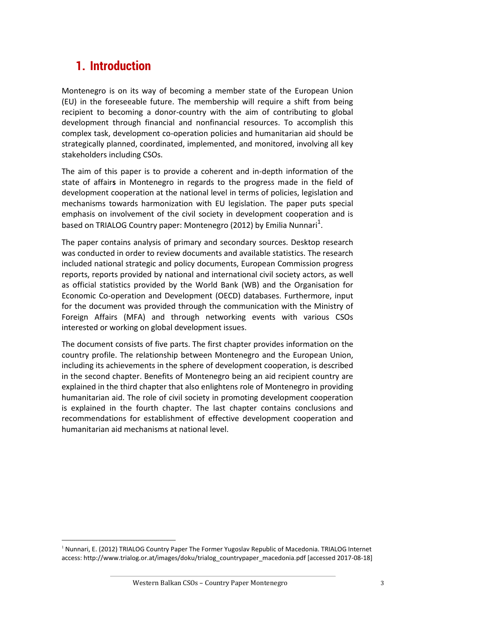# <span id="page-2-0"></span>**1. Introduction**

l

Montenegro is on its way of becoming a member state of the European Union (EU) in the foreseeable future. The membership will require a shift from being recipient to becoming a donor-country with the aim of contributing to global development through financial and nonfinancial resources. To accomplish this complex task, development co-operation policies and humanitarian aid should be strategically planned, coordinated, implemented, and monitored, involving all key stakeholders including CSOs.

The aim of this paper is to provide a coherent and in-depth information of the state of affair**s** in Montenegro in regards to the progress made in the field of development cooperation at the national level in terms of policies, legislation and mechanisms towards harmonization with EU legislation. The paper puts special emphasis on involvement of the civil society in development cooperation and is based on TRIALOG Country paper: Montenegro (2012) by Emilia Nunnari<sup>1</sup>.

The paper contains analysis of primary and secondary sources. Desktop research was conducted in order to review documents and available statistics. The research included national strategic and policy documents, European Commission progress reports, reports provided by national and international civil society actors, as well as official statistics provided by the World Bank (WB) and the Organisation for Economic Co-operation and Development (OECD) databases. Furthermore, input for the document was provided through the communication with the Ministry of Foreign Affairs (MFA) and through networking events with various CSOs interested or working on global development issues.

The document consists of five parts. The first chapter provides information on the country profile. The relationship between Montenegro and the European Union, including its achievements in the sphere of development cooperation, is described in the second chapter. Benefits of Montenegro being an aid recipient country are explained in the third chapter that also enlightens role of Montenegro in providing humanitarian aid. The role of civil society in promoting development cooperation is explained in the fourth chapter. The last chapter contains conclusions and recommendations for establishment of effective development cooperation and humanitarian aid mechanisms at national level.

<sup>&</sup>lt;sup>1</sup> Nunnari, E. (2012) TRIALOG Country Paper The Former Yugoslav Republic of Macedonia. TRIALOG Internet access: [http://www.trialog.or.at/images/doku/trialog\\_countrypaper\\_macedonia.pdf](http://www.trialog.or.at/images/doku/trialog_countrypaper_macedonia.pdf) [accessed 2017-08-18]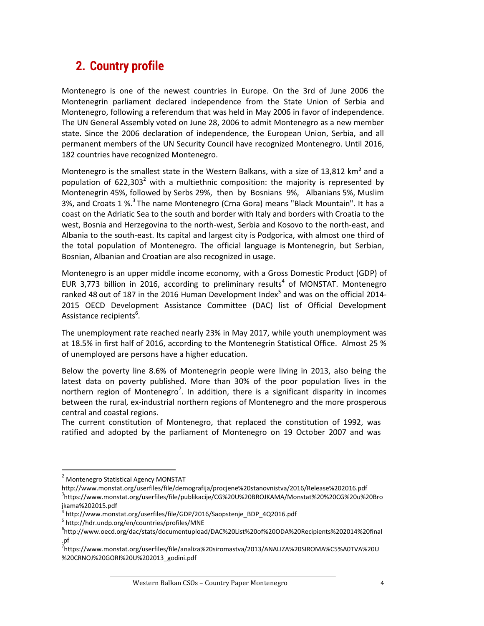# <span id="page-3-0"></span>**2. Country profile**

Montenegro is one of the newest countries in Europe. On the 3rd of June 2006 the Montenegrin parliament declared independence from the State Union of Serbia and Montenegro, following a referendum that was held in May 2006 in favor of independence. The UN General Assembly voted on June 28, 2006 to admit Montenegro as a new member state. Since the 2006 declaration of independence, the European Union, Serbia, and all permanent members of the UN Security Council have recognized Montenegro. Until 2016, 182 countries have recognized Montenegro.

Montenegro is the smallest state in the Western Balkans, with a size of 13,812  $km^2$  and a population of  $622,303^2$  with a multiethnic composition: the majority is represented by Montenegrin 45%, followed by Serbs 29%, then by Bosnians 9%, Albanians 5%, Muslim 3%, and Croats 1 %.<sup>3</sup> The name Montenegro (Crna Gora) means "Black Mountain". It has a coast on the Adriatic Sea to the south and border with Italy and borders with Croatia to the west, Bosnia and Herzegovina to the north-west, Serbia and Kosovo to the north-east, and Albania to the south-east. Its capital and largest city is Podgorica, with almost one third of the total population of Montenegro. The official language is [Montenegrin,](https://en.wikipedia.org/wiki/Montenegrin_language) but Serbian, Bosnian, Albanian and Croatian are also recognized in usage.

Montenegro is an upper middle income economy, with a Gross Domestic Product (GDP) of EUR 3,773 billion in 2016, according to preliminary results<sup>4</sup> of MONSTAT. Montenegro ranked 48 out of 187 in the 2016 Human Development Index<sup>5</sup> and was on the official 2014-2015 OECD Development Assistance Committee (DAC) list of Official Development Assistance recipients<sup>6</sup>.

The unemployment rate reached nearly 23% in May 2017, while youth unemployment was at 18.5% in first half of 2016, according to the Montenegrin Statistical Office. Almost 25 % of unemployed are persons have a higher education.

Below the poverty line 8.6% of Montenegrin people were living in 2013, also being the latest data on poverty published. More than 30% of the poor population lives in the northern region of Montenegro<sup>7</sup>. In addition, there is a significant disparity in incomes between the rural, ex-industrial northern regions of Montenegro and the more prosperous central and coastal regions.

The current constitution of Montenegro, that replaced the constitution of 1992, was ratified and adopted by the parliament of Montenegro on 19 October 2007 and was

<sup>2</sup> Montenegro Statistical Agency MONSTAT

http://www.monstat.org/userfiles/file/demografija/procjene%20stanovnistva/2016/Release%202016.pdf 3 [https://www.monstat.org/userfiles/file/publikacije/CG%20U%20BROJKAMA/Monstat%20%20CG%20u%20Bro](https://www.monstat.org/userfiles/file/publikacije/CG%20U%20BROJKAMA/Monstat%20%20CG%20u%20Brojkama%202015.pdf) [jkama%202015.pdf](https://www.monstat.org/userfiles/file/publikacije/CG%20U%20BROJKAMA/Monstat%20%20CG%20u%20Brojkama%202015.pdf)

[http://www.monstat.org/userfiles/file/GDP/2016/Saopstenje\\_BDP\\_4Q2016.pdf](http://www.monstat.org/userfiles/file/GDP/2016/Saopstenje_BDP_4Q2016.pdf)

<sup>&</sup>lt;sup>5</sup> <http://hdr.undp.org/en/countries/profiles/MNE>

<sup>6</sup> [http://www.oecd.org/dac/stats/documentupload/DAC%20List%20of%20ODA%20Recipients%202014%20final](http://www.oecd.org/dac/stats/documentupload/DAC%20List%20of%20ODA%20Recipients%202014%20final.pf) [.pf](http://www.oecd.org/dac/stats/documentupload/DAC%20List%20of%20ODA%20Recipients%202014%20final.pf)

<sup>&</sup>lt;sup>7</sup>[https://www.monstat.org/userfiles/file/analiza%20siromastva/2013/ANALIZA%20SIROMA%C5%A0TVA%20U](https://www.monstat.org/userfiles/file/analiza%20siromastva/2013/ANALIZA%20SIROMA%C5%A0TVA%20U%20CRNOJ%20GORI%20U%202013_godini.pdf) [%20CRNOJ%20GORI%20U%202013\\_godini.pdf](https://www.monstat.org/userfiles/file/analiza%20siromastva/2013/ANALIZA%20SIROMA%C5%A0TVA%20U%20CRNOJ%20GORI%20U%202013_godini.pdf)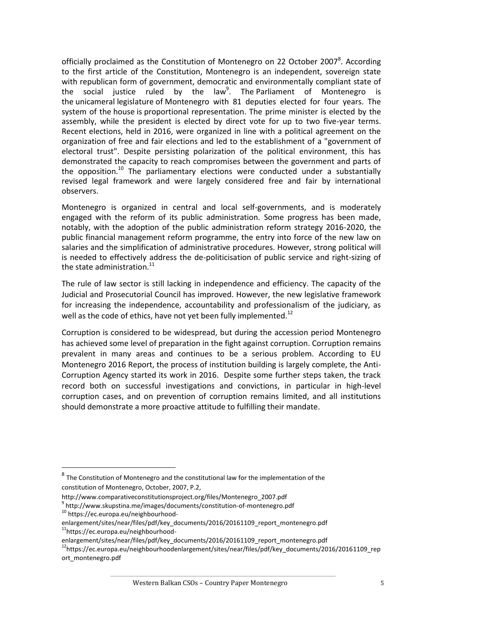officially proclaimed as the Constitution of Montenegro on 22 October 2007<sup>8</sup>. According to the first article of the Constitution, Montenegro is an independent, sovereign state with republican form of government, democratic and environmentally compliant state of the social justice ruled by the law<sup>9</sup>. The Parliament of Montenegro is the unicameral legislature of Montenegro with 81 deputies elected for four years. The system of the house is proportional representation. The prime minister is elected by the assembly, while the president is elected by direct vote for up to two five-year terms. Recent elections, held in 2016, were organized in line with a political agreement on the organization of free and fair elections and led to the establishment of a "government of electoral trust". Despite persisting polarization of the political environment, this has demonstrated the capacity to reach compromises between the government and parts of the opposition.<sup>10</sup> The parliamentary elections were conducted under a substantially revised legal framework and were largely considered free and fair by international observers.

Montenegro is organized in central and local self-governments, and is moderately engaged with the reform of its public administration. Some progress has been made, notably, with the adoption of the public administration reform strategy 2016-2020, the public financial management reform programme, the entry into force of the new law on salaries and the simplification of administrative procedures. However, strong political will is needed to effectively address the de-politicisation of public service and right-sizing of the state administration. $^{11}$ 

The rule of law sector is still lacking in independence and efficiency. The capacity of the Judicial and Prosecutorial Council has improved. However, the new legislative framework for increasing the independence, accountability and professionalism of the judiciary, as well as the code of ethics, have not yet been fully implemented.<sup>12</sup>

Corruption is considered to be widespread, but during the accession period Montenegro has achieved some level of preparation in the fight against corruption. Corruption remains prevalent in many areas and continues to be a serious problem. According to EU Montenegro 2016 Report, the process of institution building is largely complete, the Anti-Corruption Agency started its work in 2016. Despite some further steps taken, the track record both on successful investigations and convictions, in particular in high-level corruption cases, and on prevention of corruption remains limited, and all institutions should demonstrate a more proactive attitude to fulfilling their mandate.

 $^8$  The Constitution of Montenegro and the constitutional law for the implementation of the constitution of Montenegro, October, 2007, P.2,

[http://www.comparativeconstitutionsproject.org/files/Montenegro\\_2007.pdf](http://www.comparativeconstitutionsproject.org/files/Montenegro_2007.pdf)

<sup>&</sup>lt;sup>9</sup> <http://www.skupstina.me/images/documents/constitution-of-montenegro.pdf>

<sup>10</sup> [https://ec.europa.eu/neighbourhood-](https://ec.europa.eu/neighbourhood-enlargement/sites/near/files/pdf/key_documents/2016/20161109_report_montenegro.pdf)

[enlargement/sites/near/files/pdf/key\\_documents/2016/20161109\\_report\\_montenegro.pdf](https://ec.europa.eu/neighbourhood-enlargement/sites/near/files/pdf/key_documents/2016/20161109_report_montenegro.pdf) <sup>11</sup>[https://ec.europa.eu/neighbourhood-](https://ec.europa.eu/neighbourhood-enlargement/sites/near/files/pdf/key_documents/2016/20161109_report_montenegro.pdf)

[enlargement/sites/near/files/pdf/key\\_documents/2016/20161109\\_report\\_montenegro.pdf](https://ec.europa.eu/neighbourhood-enlargement/sites/near/files/pdf/key_documents/2016/20161109_report_montenegro.pdf)

 $12$ [https://ec.europa.eu/neighbourhoodenlargement/sites/near/files/pdf/key\\_documents/2016/20161109\\_rep](https://ec.europa.eu/neighbourhoodenlargement/sites/near/files/pdf/key_documents/2016/20161109_report_montenegro.pdf) [ort\\_montenegro.pdf](https://ec.europa.eu/neighbourhoodenlargement/sites/near/files/pdf/key_documents/2016/20161109_report_montenegro.pdf)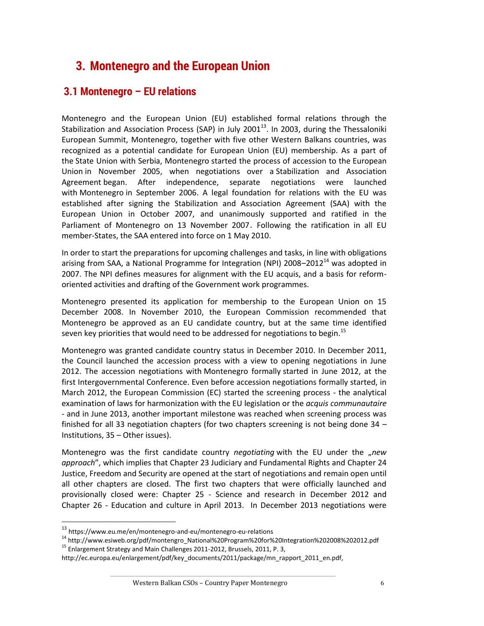# <span id="page-5-0"></span>**3. Montenegro and the European Union**

## <span id="page-5-1"></span>**3.1 Montenegro – EU relations**

Montenegro and the European Union (EU) established formal relations through the Stabilization and Association Process (SAP) in July 2001 $^{13}$ . In 2003, during the Thessaloniki European Summit, Montenegro, together with five other Western Balkans countries, was recognized as a potential candidate for European Union (EU) membership. As a part of the State Union with Serbia, Montenegro started the process of accession to the European Union in November 2005, when negotiations over a Stabilization and Association Agreement began. After independence, separate negotiations were launched with Montenegro in September 2006. A legal foundation for relations with the EU was established after signing the Stabilization and Association Agreement (SAA) with the European Union in October 2007, and unanimously supported and ratified in the Parliament of Montenegro on 13 November 2007. Following the ratification in all EU member-States, the SAA entered into force on 1 May 2010.

In order to start the preparations for upcoming challenges and tasks, in line with obligations arising from SAA, a National Programme for Integration (NPI)  $2008-2012<sup>14</sup>$  was adopted in 2007. The NPI defines measures for alignment with the EU acquis, and a basis for reformoriented activities and drafting of the Government work programmes.

Montenegro presented its application for membership to the European Union on 15 December 2008. In November 2010, the European Commission recommended that Montenegro be approved as an EU candidate country, but at the same time identified seven key priorities that would need to be addressed for negotiations to begin.<sup>15</sup>

Montenegro was granted candidate country status in December 2010. In December 2011, the Council launched the accession process with a view to opening negotiations in June 2012. The accession negotiations with Montenegro formally started in June 2012, at the first Intergovernmental Conference. Even before accession negotiations formally started, in March 2012, the European Commission (EC) started the screening process - the analytical examination of laws for harmonization with the EU legislation or the *acquis communautaire* - and in June 2013, another important milestone was reached when screening process was finished for all 33 negotiation chapters (for two chapters screening is not being done 34 – Institutions, 35 – Other issues).

Montenegro was the first candidate country *negotiating* with the EU under the "new *approach*", which implies that Chapter 23 Judiciary and Fundamental Rights and Chapter 24 Justice, Freedom and Security are opened at the start of negotiations and remain open until all other chapters are closed. The first two chapters that were officially launched and provisionally closed were: Chapter 25 - Science and research in December 2012 and Chapter 26 - Education and culture in April 2013. In December 2013 negotiations were

<sup>13</sup> <https://www.eu.me/en/montenegro-and-eu/montenegro-eu-relations>

<sup>14</sup> [http://www.esiweb.org/pdf/montengro\\_National%20Program%20for%20Integration%202008%202012.pdf](http://www.esiweb.org/pdf/montengro_National%20Program%20for%20Integration%202008%202012.pdf) <sup>15</sup> Enlargement Strategy and Main Challenges 2011-2012, Brussels, 2011, P. 3,

[http://ec.europa.eu/enlargement/pdf/key\\_documents/2011/package/mn\\_rapport\\_2011\\_en.pdf,](http://ec.europa.eu/enlargement/pdf/key_documents/2011/package/mn_rapport_2011_en.pdf)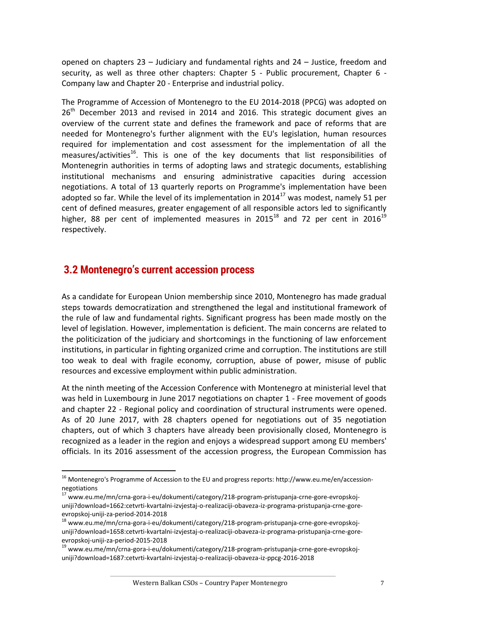opened on chapters 23 – Judiciary and fundamental rights and 24 – Justice, freedom and security, as well as three other chapters: Chapter 5 - Public procurement, Chapter 6 - Company law and Chapter 20 - Enterprise and industrial policy.

The Programme of Accession of Montenegro to the EU 2014-2018 (PPCG) was adopted on 26<sup>th</sup> December 2013 and revised in 2014 and 2016. This strategic document gives an overview of the current state and defines the framework and pace of reforms that are needed for Montenegro's further alignment with the EU's legislation, human resources required for implementation and cost assessment for the implementation of all the measures/activities<sup>16</sup>. This is one of the key documents that list responsibilities of Montenegrin authorities in terms of adopting laws and strategic documents, establishing institutional mechanisms and ensuring administrative capacities during accession negotiations. A total of 13 quarterly reports on Programme's implementation have been adopted so far. While the level of its implementation in  $2014^{17}$  was modest, namely 51 per cent of defined measures, greater engagement of all responsible actors led to significantly higher, 88 per cent of implemented measures in 2015<sup>18</sup> and 72 per cent in 2016<sup>19</sup> respectively.

#### <span id="page-6-0"></span>**3.2 Montenegro's current accession process**

 $\overline{a}$ 

As a candidate for European Union membership since 2010, Montenegro has made gradual steps towards democratization and strengthened the legal and institutional framework of the rule of law and fundamental rights. Significant progress has been made mostly on the level of legislation. However, implementation is deficient. The main concerns are related to the politicization of the judiciary and shortcomings in the functioning of law enforcement institutions, in particular in fighting organized crime and corruption. The institutions are still too weak to deal with fragile economy, corruption, abuse of power, misuse of public resources and excessive employment within public administration.

At the ninth meeting of the Accession Conference with Montenegro at ministerial level that was held in Luxembourg in June 2017 negotiations on chapter 1 - Free movement of goods and chapter 22 - Regional policy and coordination of structural instruments were opened. As of 20 June 2017, with 28 chapters opened for negotiations out of 35 negotiation chapters, out of which 3 chapters have already been provisionally closed, Montenegro is recognized as a leader in the region and enjoys a widespread support among EU members' officials. In its 2016 assessment of the accession progress, the European Commission has

<sup>&</sup>lt;sup>16</sup> Montenegro's Programme of Accession to the EU and progress reports: http://www.eu.me/en/accessionnegotiations

<sup>17</sup> www.eu.me/mn/crna-gora-i-eu/dokumenti/category/218-program-pristupanja-crne-gore-evropskojuniji?download=1662:cetvrti-kvartalni-izvjestaj-o-realizaciji-obaveza-iz-programa-pristupanja-crne-goreevropskoj-uniji-za-period-2014-2018

<sup>&</sup>lt;sup>18</sup> www.eu.me/mn/crna-gora-i-eu/dokumenti/category/218-program-pristupanja-crne-gore-evropskojuniji?download=1658:cetvrti-kvartalni-izvjestaj-o-realizaciji-obaveza-iz-programa-pristupanja-crne-goreevropskoj-uniji-za-period-2015-2018

<sup>&</sup>lt;sup>19</sup> www.eu.me/mn/crna-gora-i-eu/dokumenti/category/218-program-pristupanja-crne-gore-evropskojuniji?download=1687:cetvrti-kvartalni-izvjestaj-o-realizaciji-obaveza-iz-ppcg-2016-2018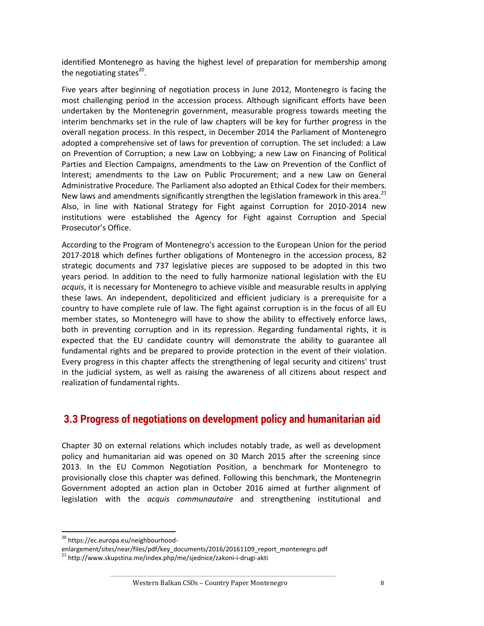identified Montenegro as having the highest level of preparation for membership among the negotiating states<sup>20</sup>.

Five years after beginning of negotiation process in June 2012, Montenegro is facing the most challenging period in the accession process. Although significant efforts have been undertaken by the Montenegrin government, measurable progress towards meeting the interim benchmarks set in the rule of law chapters will be key for further progress in the overall negation process. In this respect, in December 2014 the Parliament of Montenegro adopted a comprehensive set of laws for prevention of corruption. The set included: a Law on Prevention of Corruption; a new Law on Lobbying; a new Law on Financing of Political Parties and Election Campaigns, amendments to the Law on Prevention of the Conflict of Interest; amendments to the Law on Public Procurement; and a new Law on General Administrative Procedure. The Parliament also adopted an Ethical Codex for their members. New laws and amendments significantly strengthen the legislation framework in this area.<sup>21</sup> Also, in line with National Strategy for Fight against Corruption for 2010-2014 new institutions were established the Agency for Fight against Corruption and Special Prosecutor's Office.

According to the Program of Montenegro's accession to the European Union for the period 2017-2018 which defines further obligations of Montenegro in the accession process, 82 strategic documents and 737 legislative pieces are supposed to be adopted in this two years period. In addition to the need to fully harmonize national legislation with the EU *acquis*, it is necessary for Montenegro to achieve visible and measurable results in applying these laws. An independent, depoliticized and efficient judiciary is a prerequisite for a country to have complete rule of law. The fight against corruption is in the focus of all EU member states, so Montenegro will have to show the ability to effectively enforce laws, both in preventing corruption and in its repression. Regarding fundamental rights, it is expected that the EU candidate country will demonstrate the ability to guarantee all fundamental rights and be prepared to provide protection in the event of their violation. Every progress in this chapter affects the strengthening of legal security and citizens' trust in the judicial system, as well as raising the awareness of all citizens about respect and realization of fundamental rights.

## <span id="page-7-0"></span>**3.3 Progress of negotiations on development policy and humanitarian aid**

Chapter 30 on external relations which includes notably trade, as well as development policy and humanitarian aid was opened on 30 March 2015 after the screening since 2013. In the EU Common Negotiation Position, a benchmark for Montenegro to provisionally close this chapter was defined. Following this benchmark, the Montenegrin Government adopted an action plan in October 2016 aimed at further alignment of legislation with the *acquis communautaire* and strengthening institutional and

l

<sup>&</sup>lt;sup>20</sup> [https://ec.europa.eu/neighbourhood-](https://ec.europa.eu/neighbourhood-enlargement/sites/near/files/pdf/key_documents/2016/20161109_report_montenegro.pdf)

[enlargement/sites/near/files/pdf/key\\_documents/2016/20161109\\_report\\_montenegro.pdf](https://ec.europa.eu/neighbourhood-enlargement/sites/near/files/pdf/key_documents/2016/20161109_report_montenegro.pdf)

<sup>&</sup>lt;sup>21</sup> <http://www.skupstina.me/index.php/me/sjednice/zakoni-i-drugi-akti>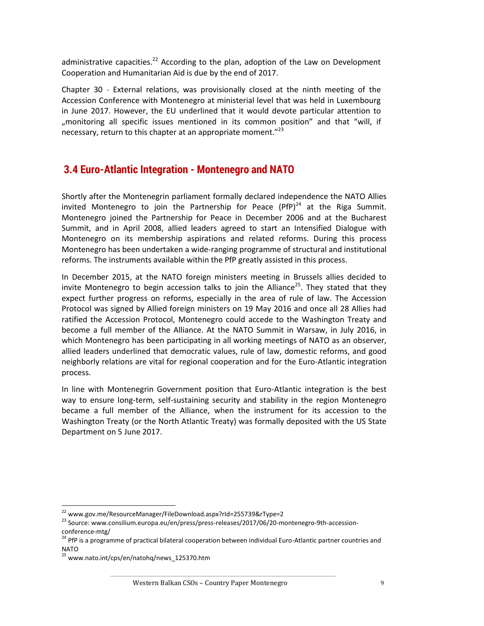administrative capacities.<sup>22</sup> According to the plan, adoption of the Law on Development Cooperation and Humanitarian Aid is due by the end of 2017.

Chapter 30 - External relations, was provisionally closed at the ninth meeting of the Accession Conference with Montenegro at ministerial level that was held in Luxembourg in June 2017. However, the EU underlined that it would devote particular attention to "monitoring all specific issues mentioned in its common position" and that "will, if necessary, return to this chapter at an appropriate moment."<sup>23</sup>

## <span id="page-8-0"></span>**3.4 Euro-Atlantic Integration - Montenegro and NATO**

Shortly after the Montenegrin parliament formally declared independence the NATO Allies invited Montenegro to join the Partnership for Peace  $(PfP)^{24}$  at the Riga Summit. Montenegro joined the Partnership for Peace in December 2006 and at the Bucharest Summit, and in April 2008, allied leaders agreed to start an Intensified Dialogue with Montenegro on its membership aspirations and related reforms. During this process Montenegro has been undertaken a wide-ranging programme of structural and institutional reforms. The instruments available within the PfP greatly assisted in this process.

In December 2015, at the NATO foreign ministers meeting in Brussels allies decided to invite Montenegro to begin accession talks to join the Alliance<sup>25</sup>. They stated that they expect further progress on reforms, especially in the area of rule of law. The Accession Protocol was signed by Allied foreign ministers on 19 May 2016 and once all 28 Allies had ratified the Accession Protocol, Montenegro could accede to the Washington Treaty and become a full member of the Alliance. At the NATO Summit in Warsaw, in July 2016, in which Montenegro has been participating in all working meetings of NATO as an observer, allied leaders underlined that democratic values, rule of law, domestic reforms, and good neighborly relations are vital for regional cooperation and for the Euro-Atlantic integration process.

In line with Montenegrin Government position that Euro-Atlantic integration is the best way to ensure long-term, self-sustaining security and stability in the region Montenegro became a full member of the Alliance, when the instrument for its accession to the Washington Treaty (or the North Atlantic Treaty) was formally deposited with the US State Department on 5 June 2017.

l

<sup>&</sup>lt;sup>22</sup> [www.gov.me/ResourceManager/FileDownload.aspx?rId=255739&rType=2](http://www.gov.me/ResourceManager/FileDownload.aspx?rId=255739&rType=2)

<sup>23</sup> Source[: www.consilium.europa.eu/en/press/press-releases/2017/06/20-montenegro-9th-accession](http://www.consilium.europa.eu/en/press/press-releases/2017/06/20-montenegro-9th-accession-conference-mtg/)[conference-mtg/](http://www.consilium.europa.eu/en/press/press-releases/2017/06/20-montenegro-9th-accession-conference-mtg/)

<sup>&</sup>lt;sup>24</sup> PfP is a programme of practical bilateral cooperation between individual Euro-Atlantic partner countries and NATO

<sup>25</sup> [www.nato.int/cps/en/natohq/news\\_125370.htm](http://www.nato.int/cps/en/natohq/news_125370.htm)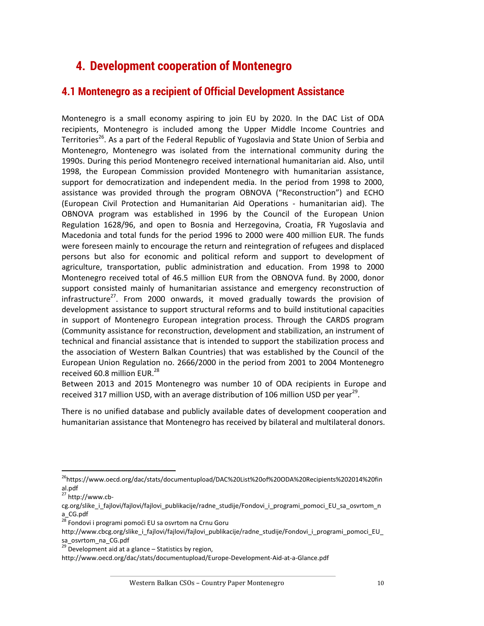# <span id="page-9-0"></span>**4. Development cooperation of Montenegro**

## <span id="page-9-1"></span>**4.1 Montenegro as a recipient of Official Development Assistance**

Montenegro is a small economy aspiring to join EU by 2020. In the DAC List of ODA recipients, Montenegro is included among the Upper Middle Income Countries and Territories<sup>26</sup>. As a part of the Federal Republic of Yugoslavia and State Union of Serbia and Montenegro, Montenegro was isolated from the international community during the 1990s. During this period Montenegro received international humanitarian aid. Also, until 1998, the European Commission provided Montenegro with humanitarian assistance, support for democratization and independent media. In the period from 1998 to 2000, assistance was provided through the program OBNOVA ("Reconstruction") and ECHO (European Civil Protection and Humanitarian Aid Operations - humanitarian aid). The OBNOVA program was established in 1996 by the Council of the European Union Regulation 1628/96, and open to Bosnia and Herzegovina, Croatia, FR Yugoslavia and Macedonia and total funds for the period 1996 to 2000 were 400 million EUR. The funds were foreseen mainly to encourage the return and reintegration of refugees and displaced persons but also for economic and political reform and support to development of agriculture, transportation, public administration and education. From 1998 to 2000 Montenegro received total of 46.5 million EUR from the OBNOVA fund. By 2000, donor support consisted mainly of humanitarian assistance and emergency reconstruction of infrastructure<sup>27</sup>. From 2000 onwards, it moved gradually towards the provision of development assistance to support structural reforms and to build institutional capacities in support of Montenegro European integration process. Through the CARDS program (Community assistance for reconstruction, development and stabilization, an instrument of technical and financial assistance that is intended to support the stabilization process and the association of Western Balkan Countries) that was established by the Council of the European Union Regulation no. 2666/2000 in the period from 2001 to 2004 Montenegro received 60.8 million EUR.<sup>28</sup>

Between 2013 and 2015 Montenegro was number 10 of ODA recipients in Europe and received 317 million USD, with an average distribution of 106 million USD per year<sup>29</sup>.

There is no unified database and publicly available dates of development cooperation and humanitarian assistance that Montenegro has received by bilateral and multilateral donors.

<sup>26</sup>[https://www.oecd.org/dac/stats/documentupload/DAC%20List%20of%20ODA%20Recipients%202014%20fin](https://www.oecd.org/dac/stats/documentupload/DAC%20List%20of%20ODA%20Recipients%202014%20final.pdf) [al.pdf](https://www.oecd.org/dac/stats/documentupload/DAC%20List%20of%20ODA%20Recipients%202014%20final.pdf)

 $27$  [http://www.cb-](http://www.cb-cg.org/slike_i_fajlovi/fajlovi/fajlovi_publikacije/radne_studije/Fondovi_i_programi_pomoci_EU_sa_osvrtom_na_CG.pdf)

cg.org/slike i fajlovi/fajlovi/fajlovi publikacije/radne studije/Fondovi i programi pomoci EU sa osvrtom n [a\\_CG.pdf](http://www.cb-cg.org/slike_i_fajlovi/fajlovi/fajlovi_publikacije/radne_studije/Fondovi_i_programi_pomoci_EU_sa_osvrtom_na_CG.pdf)

<sup>&</sup>lt;sup>28</sup> Fondovi i programi pomoći EU sa osvrtom na Crnu Goru

http://www.cbcg.org/slike\_i\_fajlovi/fajlovi/fajlovi\_publikacije/radne\_studije/Fondovi\_i\_programi\_pomoci\_EU [sa\\_osvrtom\\_na\\_CG.pdf](http://www.cbcg.org/slike_i_fajlovi/fajlovi/fajlovi_publikacije/radne_studije/Fondovi_i_programi_pomoci_EU_sa_osvrtom_na_CG.pdf)

 $29$  Development aid at a glance – Statistics by region,

<http://www.oecd.org/dac/stats/documentupload/Europe-Development-Aid-at-a-Glance.pdf>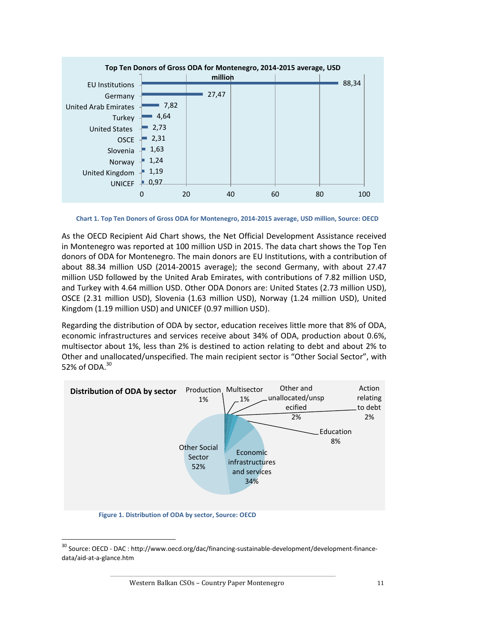

 **Chart 1. Top Ten Donors of Gross ODA for Montenegro, 2014-2015 average, USD million, Source: OECD**

As the OECD Recipient Aid Chart shows, the Net Official Development Assistance received in Montenegro was reported at 100 million USD in 2015. The data chart shows the Top Ten donors of ODA for Montenegro. The main donors are EU Institutions, with a contribution of about 88.34 million USD (2014-20015 average); the second Germany, with about 27.47 million USD followed by the United Arab Emirates, with contributions of 7.82 million USD, and Turkey with 4.64 million USD. Other ODA Donors are: United States (2.73 million USD), OSCE (2.31 million USD), Slovenia (1.63 million USD), Norway (1.24 million USD), United Kingdom (1.19 million USD) and UNICEF (0.97 million USD).

Regarding the distribution of ODA by sector, education receives little more that 8% of ODA, economic infrastructures and services receive about 34% of ODA, production about 0.6%, multisector about 1%, less than 2% is destined to action relating to debt and about 2% to Other and unallocated/unspecified. The main recipient sector is "Other Social Sector", with 52% of ODA.<sup>30</sup>



 $^{30}$  Source: OECD - DAC : [http://www.oecd.org/dac/financing-sustainable-development/development-finance](http://www.oecd.org/dac/financing-sustainable-development/development-finance-data/aid-at-a-glance.htm)[data/aid-at-a-glance.htm](http://www.oecd.org/dac/financing-sustainable-development/development-finance-data/aid-at-a-glance.htm)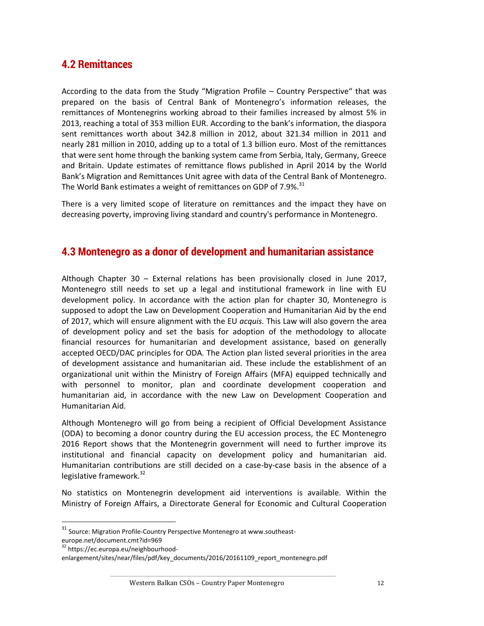## <span id="page-11-0"></span>**4.2 Remittances**

According to the data from the Study "Migration Profile – Country Perspective" that was prepared on the basis of Central Bank of Montenegro's information releases, the remittances of Montenegrins working abroad to their families increased by almost 5% in 2013, reaching a total of 353 million EUR. According to the bank's information, the diaspora sent remittances worth about 342.8 million in 2012, about 321.34 million in 2011 and nearly 281 million in 2010, adding up to a total of 1.3 billion euro. Most of the remittances that were sent home through the banking system came from Serbia, Italy, Germany, Greece and Britain. Update estimates of remittance flows published in April 2014 by the World Bank's Migration and Remittances Unit agree with data of the Central Bank of Montenegro. The World Bank estimates a weight of remittances on GDP of 7.9%.<sup>31</sup>

There is a very limited scope of literature on remittances and the impact they have on decreasing poverty, improving living standard and country's performance in Montenegro.

#### <span id="page-11-1"></span>**4.3 Montenegro as a donor of development and humanitarian assistance**

Although Chapter 30 – External relations has been provisionally closed in June 2017, Montenegro still needs to set up a legal and institutional framework in line with EU development policy. In accordance with the action plan for chapter 30, Montenegro is supposed to adopt the Law on Development Cooperation and Humanitarian Aid by the end of 2017, which will ensure alignment with the EU *acquis.* This Law will also govern the area of development policy and set the basis for adoption of the methodology to allocate financial resources for humanitarian and development assistance, based on generally accepted OECD/DAC principles for ODA*.* The Action plan listed several priorities in the area of development assistance and humanitarian aid. These include the establishment of an organizational unit within the Ministry of Foreign Affairs (MFA) equipped technically and with personnel to monitor, plan and coordinate development cooperation and humanitarian aid, in accordance with the new Law on Development Cooperation and Humanitarian Aid.

Although Montenegro will go from being a recipient of Official Development Assistance (ODA) to becoming a donor country during the EU accession process, the EC Montenegro 2016 Report shows that the Montenegrin government will need to further improve its institutional and financial capacity on development policy and humanitarian aid. Humanitarian contributions are still decided on a case-by-case basis in the absence of a legislative framework.<sup>32</sup>

No statistics on Montenegrin development aid interventions is available. Within the Ministry of Foreign Affairs, a Directorate General for Economic and Cultural Cooperation

<sup>&</sup>lt;sup>31</sup> Source: Migration Profile-Country Perspective Montenegro at [www.southeast-](http://www.southeast-europe.net/document.cmt?id=969)

[europe.net/document.cmt?id=969](http://www.southeast-europe.net/document.cmt?id=969)

<sup>&</sup>lt;sup>32</sup> [https://ec.europa.eu/neighbourhood-](https://ec.europa.eu/neighbourhood-enlargement/sites/near/files/pdf/key_documents/2016/20161109_report_montenegro.pdf)

[enlargement/sites/near/files/pdf/key\\_documents/2016/20161109\\_report\\_montenegro.pdf](https://ec.europa.eu/neighbourhood-enlargement/sites/near/files/pdf/key_documents/2016/20161109_report_montenegro.pdf)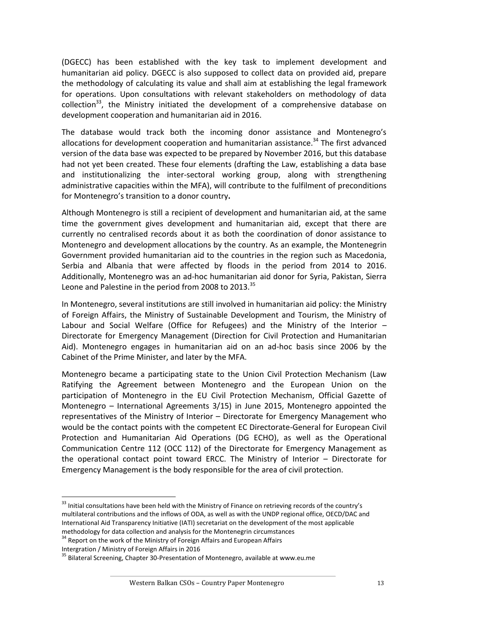(DGECC) has been established with the key task to implement development and humanitarian aid policy. DGECC is also supposed to collect data on provided aid, prepare the methodology of calculating its value and shall aim at establishing the legal framework for operations. Upon consultations with relevant stakeholders on methodology of data collection<sup>33</sup>, the Ministry initiated the development of a comprehensive database on development cooperation and humanitarian aid in 2016.

The database would track both the incoming donor assistance and Montenegro's allocations for development cooperation and humanitarian assistance.<sup>34</sup> The first advanced version of the data base was expected to be prepared by November 2016, but this database had not yet been created. These four elements (drafting the Law, establishing a data base and institutionalizing the inter-sectoral working group, along with strengthening administrative capacities within the MFA), will contribute to the fulfilment of preconditions for Montenegro's transition to a donor country**.** 

Although Montenegro is still a recipient of development and humanitarian aid, at the same time the government gives development and humanitarian aid, except that there are currently no centralised records about it as both the coordination of donor assistance to Montenegro and development allocations by the country. As an example, the Montenegrin Government provided humanitarian aid to the countries in the region such as Macedonia, Serbia and Albania that were affected by floods in the period from 2014 to 2016. Additionally, Montenegro was an ad-hoc humanitarian aid donor for Syria, Pakistan, Sierra Leone and Palestine in the period from 2008 to 2013.<sup>35</sup>

In Montenegro, several institutions are still involved in humanitarian aid policy: the Ministry of Foreign Affairs, the Ministry of Sustainable Development and Tourism, the Ministry of Labour and Social Welfare (Office for Refugees) and the Ministry of the Interior – Directorate for Emergency Management (Direction for Civil Protection and Humanitarian Aid). Montenegro engages in humanitarian aid on an ad-hoc basis since 2006 by the Cabinet of the Prime Minister, and later by the MFA.

Montenegro became a participating state to the Union Civil Protection Mechanism (Law Ratifying the Agreement between Montenegro and the European Union on the participation of Montenegro in the EU Civil Protection Mechanism, Official Gazette of Montenegro – International Agreements 3/15) in June 2015, Montenegro appointed the representatives of the Ministry of Interior – Directorate for Emergency Management who would be the contact points with the competent EC Directorate-General for European Civil Protection and Humanitarian Aid Operations (DG ECHO), as well as the Operational Communication Centre 112 (OCC 112) of the Directorate for Emergency Management as the operational contact point toward ERCC. The Ministry of Interior – Directorate for Emergency Management is the body responsible for the area of civil protection.

 $33$  Initial consultations have been held with the Ministry of Finance on retrieving records of the country's multilateral contributions and the inflows of ODA, as well as with the UNDP regional office, OECD/DAC and International Aid Transparency Initiative (IATI) secretariat on the development of the most applicable methodology for data collection and analysis for the Montenegrin circumstances

<sup>&</sup>lt;sup>34</sup> Report on the work of the Ministry of Foreign Affairs and European Affairs

Intergration / Ministry of Foreign Affairs in 2016

<sup>&</sup>lt;sup>35</sup> Bilateral Screening, Chapter 30-Presentation of Montenegro, available at [www.eu.me](http://www.eu.me/)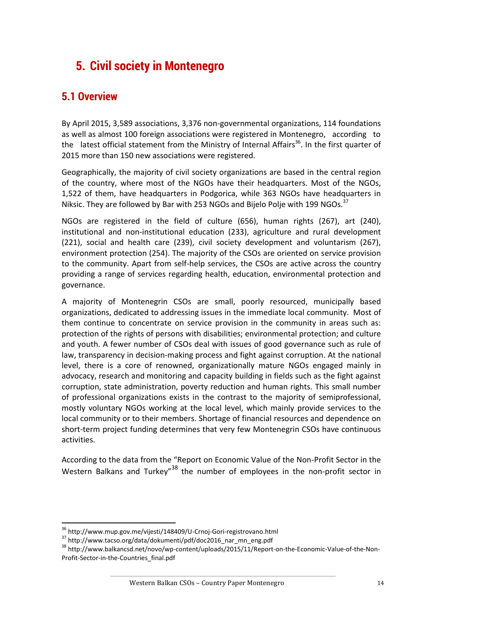# <span id="page-13-0"></span>**5. Civil society in Montenegro**

## <span id="page-13-1"></span>**5.1 Overview**

By April 2015, 3,589 associations, 3,376 non-governmental organizations, 114 foundations as well as almost 100 foreign associations were registered in Montenegro, according to the latest official statement from the Ministry of Internal Affairs<sup>36</sup>. In the first quarter of 2015 more than 150 new associations were registered.

Geographically, the majority of civil society organizations are based in the central region of the country, where most of the NGOs have their headquarters. Most of the NGOs, 1,522 of them, have headquarters in Podgorica, while 363 NGOs have headquarters in Niksic. They are followed by Bar with 253 NGOs and Bijelo Polje with 199 NGOs.<sup>37</sup>

NGOs are registered in the field of culture (656), human rights (267), art (240), institutional and non-institutional education (233), agriculture and rural development (221), social and health care (239), civil society development and voluntarism (267), environment protection (254). The majority of the CSOs are oriented on service provision to the community. Apart from self-help services, the CSOs are active across the country providing a range of services regarding health, education, environmental protection and governance.

A majority of Montenegrin CSOs are small, poorly resourced, municipally based organizations, dedicated to addressing issues in the immediate local community. Most of them continue to concentrate on service provision in the community in areas such as: protection of the rights of persons with disabilities; environmental protection; and culture and youth. A fewer number of CSOs deal with issues of good governance such as rule of law, transparency in decision-making process and fight against corruption. At the national level, there is a core of renowned, organizationally mature NGOs engaged mainly in advocacy, research and monitoring and capacity building in fields such as the fight against corruption, state administration, poverty reduction and human rights. This small number of professional organizations exists in the contrast to the majority of semiprofessional, mostly voluntary NGOs working at the local level, which mainly provide services to the local community or to their members. Shortage of financial resources and dependence on short-term project funding determines that very few Montenegrin CSOs have continuous activities.

According to the data from the "Report on Economic Value of the Non-Profit Sector in the Western Balkans and Turkey"<sup>38</sup> the number of employees in the non-profit sector in

<sup>36</sup> <http://www.mup.gov.me/vijesti/148409/U-Crnoj-Gori-registrovano.html>

<sup>37</sup> [http://www.tacso.org/data/dokumenti/pdf/doc2016\\_nar\\_mn\\_eng.pdf](http://www.tacso.org/data/dokumenti/pdf/doc2016_nar_mn_eng.pdf)

<sup>38</sup> [http://www.balkancsd.net/novo/wp-content/uploads/2015/11/Report-on-the-Economic-Value-of-the-Non-](http://www.balkancsd.net/novo/wp-content/uploads/2015/11/Report-on-the-Economic-Value-of-the-Non-Profit-Sector-in-the-Countries_final.pdf)[Profit-Sector-in-the-Countries\\_final.pdf](http://www.balkancsd.net/novo/wp-content/uploads/2015/11/Report-on-the-Economic-Value-of-the-Non-Profit-Sector-in-the-Countries_final.pdf)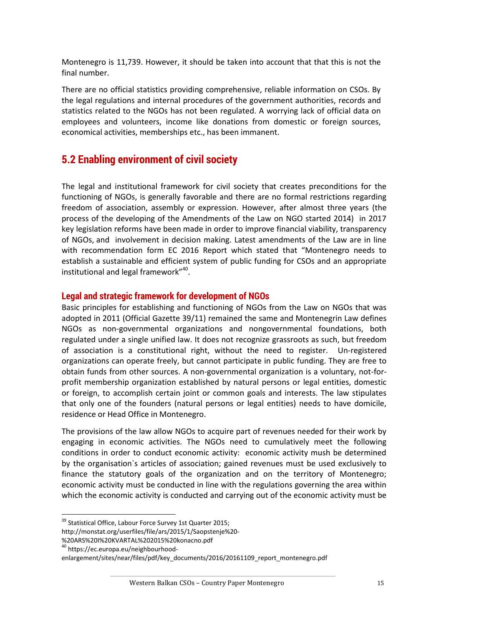Montenegro is 11,739. However, it should be taken into account that that this is not the final number.

There are no official statistics providing comprehensive, reliable information on CSOs. By the legal regulations and internal procedures of the government authorities, records and statistics related to the NGOs has not been regulated. A worrying lack of official data on employees and volunteers, income like donations from domestic or foreign sources, economical activities, memberships etc., has been immanent.

## <span id="page-14-0"></span>**5.2 Enabling environment of civil society**

The legal and institutional framework for civil society that creates preconditions for the functioning of NGOs, is generally favorable and there are no formal restrictions regarding freedom of association, assembly or expression. However, after almost three years (the process of the developing of the Amendments of the Law on NGO started 2014) in 2017 key legislation reforms have been made in order to improve financial viability, transparency of NGOs, and involvement in decision making. Latest amendments of the Law are in line with recommendation form EC 2016 Report which stated that "Montenegro needs to establish a sustainable and efficient system of public funding for CSOs and an appropriate institutional and legal framework"<sup>40</sup>.

#### **Legal and strategic framework for development of NGOs**

Basic principles for establishing and functioning of NGOs from the Law on NGOs that was adopted in 2011 (Official Gazette 39/11) remained the same and Montenegrin Law defines NGOs as non-governmental organizations and nongovernmental foundations, both regulated under a single unified law. It does not recognize grassroots as such, but freedom of association is a constitutional right, without the need to register. Un-registered organizations can operate freely, but cannot participate in public funding. They are free to obtain funds from other sources. A non-governmental organization is a voluntary, not-forprofit membership organization established by natural persons or legal entities, domestic or foreign, to accomplish certain joint or common goals and interests. The law stipulates that only one of the founders (natural persons or legal entities) needs to have domicile, residence or Head Office in Montenegro.

The provisions of the law allow NGOs to acquire part of revenues needed for their work by engaging in economic activities. The NGOs need to cumulatively meet the following conditions in order to conduct economic activity: economic activity mush be determined by the organisation`s articles of association; gained revenues must be used exclusively to finance the statutory goals of the organization and on the territory of Montenegro; economic activity must be conducted in line with the regulations governing the area within which the economic activity is conducted and carrying out of the economic activity must be

<sup>&</sup>lt;sup>39</sup> Statistical Office, Labour Force Survey 1st Quarter 2015;

[http://monstat.org/userfiles/file/ars/2015/1/Saopstenje%20-](http://monstat.org/userfiles/file/ars/2015/1/Saopstenje%20-%20ARS%20I%20KVARTAL%202015%20konacno.pdf)

[<sup>%20</sup>ARS%20I%20KVARTAL%202015%20konacno.pdf](http://monstat.org/userfiles/file/ars/2015/1/Saopstenje%20-%20ARS%20I%20KVARTAL%202015%20konacno.pdf)

<sup>40</sup> https://ec.europa.eu/neighbourhood-

enlargement/sites/near/files/pdf/key\_documents/2016/20161109\_report\_montenegro.pdf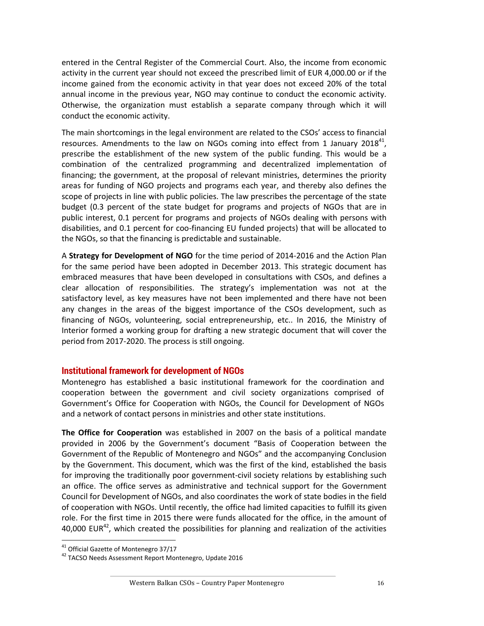entered in the Central Register of the Commercial Court. Also, the income from economic activity in the current year should not exceed the prescribed limit of EUR 4,000.00 or if the income gained from the economic activity in that year does not exceed 20% of the total annual income in the previous year, NGO may continue to conduct the economic activity. Otherwise, the organization must establish a separate company through which it will conduct the economic activity.

The main shortcomings in the legal environment are related to the CSOs' access to financial resources. Amendments to the law on NGOs coming into effect from 1 January 2018<sup>41</sup>, prescribe the establishment of the new system of the public funding. This would be a combination of the centralized programming and decentralized implementation of financing; the government, at the proposal of relevant ministries, determines the priority areas for funding of NGO projects and programs each year, and thereby also defines the scope of projects in line with public policies. The law prescribes the percentage of the state budget (0.3 percent of the state budget for programs and projects of NGOs that are in public interest, 0.1 percent for programs and projects of NGOs dealing with persons with disabilities, and 0.1 percent for coo-financing EU funded projects) that will be allocated to the NGOs, so that the financing is predictable and sustainable.

A **Strategy for Development of NGO** for the time period of 2014-2016 and the Action Plan for the same period have been adopted in December 2013. This strategic document has embraced measures that have been developed in consultations with CSOs, and defines a clear allocation of responsibilities. The strategy's implementation was not at the satisfactory level, as key measures have not been implemented and there have not been any changes in the areas of the biggest importance of the CSOs development, such as financing of NGOs, volunteering, social entrepreneurship, etc.. In 2016, the Ministry of Interior formed a working group for drafting a new strategic document that will cover the period from 2017-2020. The process is still ongoing.

#### **Institutional framework for development of NGOs**

Montenegro has established a basic institutional framework for the coordination and cooperation between the government and civil society organizations comprised of Government's Office for Cooperation with NGOs, the Council for Development of NGOs and a network of contact persons in ministries and other state institutions.

**The Office for Cooperation** was established in 2007 on the basis of a political mandate provided in 2006 by the Government's document "Basis of Cooperation between the Government of the Republic of Montenegro and NGOs" and the accompanying Conclusion by the Government. This document, which was the first of the kind, established the basis for improving the traditionally poor government-civil society relations by establishing such an office. The office serves as administrative and technical support for the Government Council for Development of NGOs, and also coordinates the work of state bodies in the field of cooperation with NGOs. Until recently, the office had limited capacities to fulfill its given role. For the first time in 2015 there were funds allocated for the office, in the amount of 40,000 EUR $42$ , which created the possibilities for planning and realization of the activities

l

<sup>41</sup> Official Gazette of Montenegro 37/17

<sup>42</sup> TACSO Needs Assessment Report Montenegro, Update 2016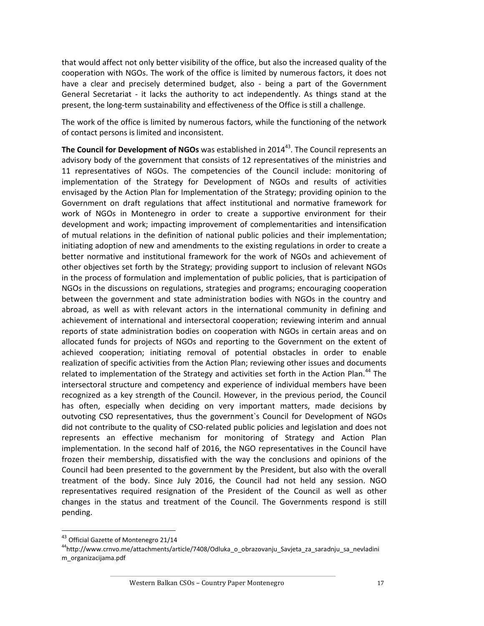that would affect not only better visibility of the office, but also the increased quality of the cooperation with NGOs. The work of the office is limited by numerous factors, it does not have a clear and precisely determined budget, also - being a part of the Government General Secretariat - it lacks the authority to act independently. As things stand at the present, the long-term sustainability and effectiveness of the Office is still a challenge.

The work of the office is limited by numerous factors, while the functioning of the network of contact persons is limited and inconsistent.

**The Council for Development of NGOs** was established in 2014<sup>43</sup>. The Council represents an advisory body of the government that consists of 12 representatives of the ministries and 11 representatives of NGOs. The competencies of the Council include: monitoring of implementation of the Strategy for Development of NGOs and results of activities envisaged by the Action Plan for Implementation of the Strategy; providing opinion to the Government on draft regulations that affect institutional and normative framework for work of NGOs in Montenegro in order to create a supportive environment for their development and work; impacting improvement of complementarities and intensification of mutual relations in the definition of national public policies and their implementation; initiating adoption of new and amendments to the existing regulations in order to create a better normative and institutional framework for the work of NGOs and achievement of other objectives set forth by the Strategy; providing support to inclusion of relevant NGOs in the process of formulation and implementation of public policies, that is participation of NGOs in the discussions on regulations, strategies and programs; encouraging cooperation between the government and state administration bodies with NGOs in the country and abroad, as well as with relevant actors in the international community in defining and achievement of international and intersectoral cooperation; reviewing interim and annual reports of state administration bodies on cooperation with NGOs in certain areas and on allocated funds for projects of NGOs and reporting to the Government on the extent of achieved cooperation; initiating removal of potential obstacles in order to enable realization of specific activities from the Action Plan; reviewing other issues and documents related to implementation of the Strategy and activities set forth in the Action Plan.<sup>44</sup> The intersectoral structure and competency and experience of individual members have been recognized as a key strength of the Council. However, in the previous period, the Council has often, especially when deciding on very important matters, made decisions by outvoting CSO representatives, thus the government`s Council for Development of NGOs did not contribute to the quality of CSO-related public policies and legislation and does not represents an effective mechanism for monitoring of Strategy and Action Plan implementation. In the second half of 2016, the NGO representatives in the Council have frozen their membership, dissatisfied with the way the conclusions and opinions of the Council had been presented to the government by the President, but also with the overall treatment of the body. Since July 2016, the Council had not held any session. NGO representatives required resignation of the President of the Council as well as other changes in the status and treatment of the Council. The Governments respond is still pending.

<sup>&</sup>lt;sup>43</sup> Official Gazette of Montenegro 21/14

<sup>44</sup>[http://www.crnvo.me/attachments/article/7408/Odluka\\_o\\_obrazovanju\\_Savjeta\\_za\\_saradnju\\_sa\\_nevladini](http://www.crnvo.me/attachments/article/7408/Odluka_o_obrazovanju_Savjeta_za_saradnju_sa_nevladinim_organizacijama.pdf) [m\\_organizacijama.pdf](http://www.crnvo.me/attachments/article/7408/Odluka_o_obrazovanju_Savjeta_za_saradnju_sa_nevladinim_organizacijama.pdf)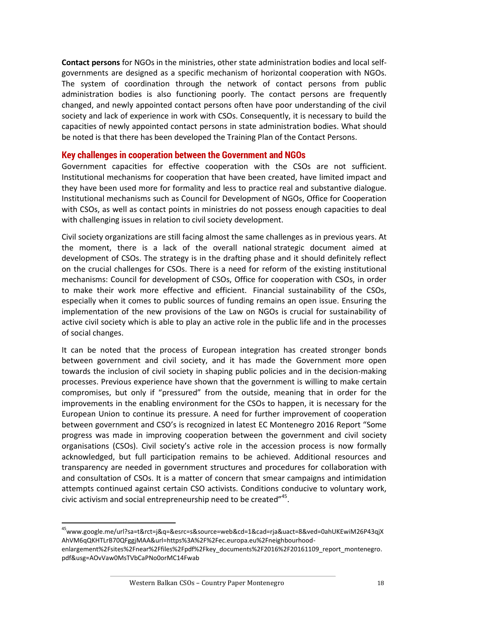**Contact persons** for NGOs in the ministries, other state administration bodies and local selfgovernments are designed as a specific mechanism of horizontal cooperation with NGOs. The system of coordination through the network of contact persons from public administration bodies is also functioning poorly. The contact persons are frequently changed, and newly appointed contact persons often have poor understanding of the civil society and lack of experience in work with CSOs. Consequently, it is necessary to build the capacities of newly appointed contact persons in state administration bodies. What should be noted is that there has been developed the Training Plan of the Contact Persons.

#### **Key challenges in cooperation between the Government and NGOs**

Government capacities for effective cooperation with the CSOs are not sufficient. Institutional mechanisms for cooperation that have been created, have limited impact and they have been used more for formality and less to practice real and substantive dialogue. Institutional mechanisms such as Council for Development of NGOs, Office for Cooperation with CSOs, as well as contact points in ministries do not possess enough capacities to deal with challenging issues in relation to civil society development.

Civil society organizations are still facing almost the same challenges as in previous years. At the moment, there is a lack of the overall national strategic document aimed at development of CSOs. The strategy is in the drafting phase and it should definitely reflect on the crucial challenges for CSOs. There is a need for reform of the existing institutional mechanisms: Council for development of CSOs, Office for cooperation with CSOs, in order to make their work more effective and efficient. Financial sustainability of the CSOs, especially when it comes to public sources of funding remains an open issue. Ensuring the implementation of the new provisions of the Law on NGOs is crucial for sustainability of active civil society which is able to play an active role in the public life and in the processes of social changes.

It can be noted that the process of European integration has created stronger bonds between government and civil society, and it has made the Government more open towards the inclusion of civil society in shaping public policies and in the decision-making processes. Previous experience have shown that the government is willing to make certain compromises, but only if "pressured" from the outside, meaning that in order for the improvements in the enabling environment for the CSOs to happen, it is necessary for the European Union to continue its pressure. A need for further improvement of cooperation between government and CSO's is recognized in latest EC Montenegro 2016 Report "Some progress was made in improving cooperation between the government and civil society organisations (CSOs). Civil society's active role in the accession process is now formally acknowledged, but full participation remains to be achieved. Additional resources and transparency are needed in government structures and procedures for collaboration with and consultation of CSOs. It is a matter of concern that smear campaigns and intimidation attempts continued against certain CSO activists. Conditions conducive to voluntary work, civic activism and social entrepreneurship need to be created"<sup>45</sup>.

<sup>45</sup>www.google.me/url?sa=t&rct=j&q=&esrc=s&source=web&cd=1&cad=rja&uact=8&ved=0ahUKEwiM26P43qjX AhVM6qQKHTLrB70QFggjMAA&url=https%3A%2F%2Fec.europa.eu%2Fneighbourhood-

enlargement%2Fsites%2Fnear%2Ffiles%2Fpdf%2Fkey\_documents%2F2016%2F20161109\_report\_montenegro. pdf&usg=AOvVaw0MsTVbCaPNo0orMC14Fwab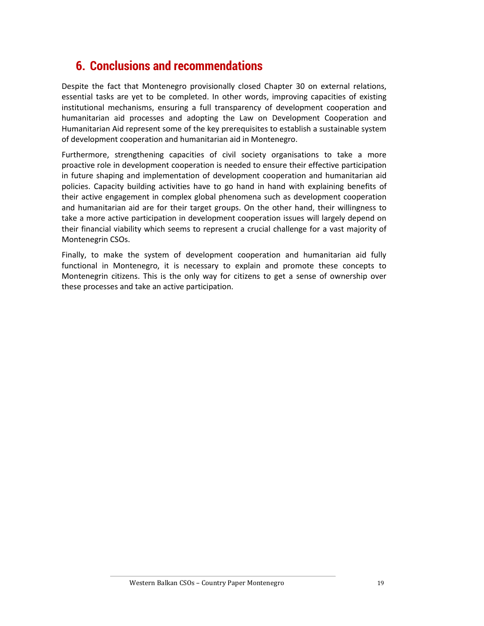# <span id="page-18-0"></span>**6. Conclusions and recommendations**

Despite the fact that Montenegro provisionally closed Chapter 30 on external relations, essential tasks are yet to be completed. In other words, improving capacities of existing institutional mechanisms, ensuring a full transparency of development cooperation and humanitarian aid processes and adopting the Law on Development Cooperation and Humanitarian Aid represent some of the key prerequisites to establish a sustainable system of development cooperation and humanitarian aid in Montenegro.

Furthermore, strengthening capacities of civil society organisations to take a more proactive role in development cooperation is needed to ensure their effective participation in future shaping and implementation of development cooperation and humanitarian aid policies. Capacity building activities have to go hand in hand with explaining benefits of their active engagement in complex global phenomena such as development cooperation and humanitarian aid are for their target groups. On the other hand, their willingness to take a more active participation in development cooperation issues will largely depend on their financial viability which seems to represent a crucial challenge for a vast majority of Montenegrin CSOs.

Finally, to make the system of development cooperation and humanitarian aid fully functional in Montenegro, it is necessary to explain and promote these concepts to Montenegrin citizens. This is the only way for citizens to get a sense of ownership over these processes and take an active participation.